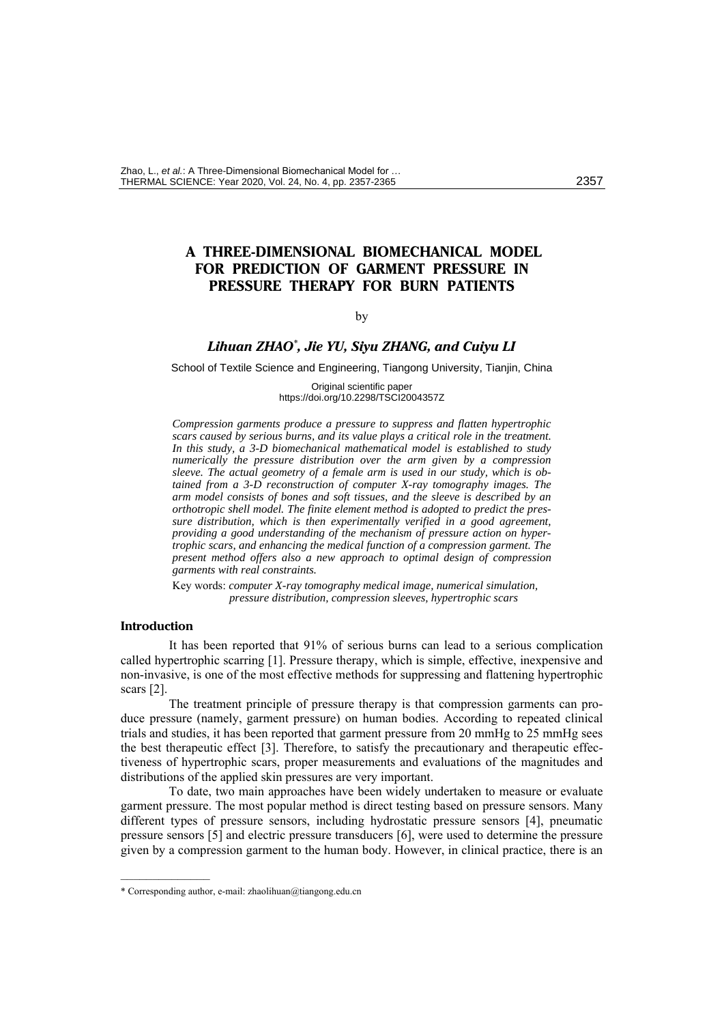# **A THREE-DIMENSIONAL BIOMECHANICAL MODEL FOR PREDICTION OF GARMENT PRESSURE IN PRESSURE THERAPY FOR BURN PATIENTS**

### <span id="page-0-0"></span>by

# *Lihuan ZHAO\* , Jie YU, Siyu ZHANG, and Cuiyu LI*

School of Textile Science and Engineering, Tiangong University, Tianjin, China

Original scientific paper https://doi.org/10.2298/TSCI2004357Z

*Compression garments produce a pressure to suppress and flatten hypertrophic scars caused by serious burns, and its value plays a critical role in the treatment. In this study, a 3-D biomechanical mathematical model is established to study numerically the pressure distribution over the arm given by a compression sleeve. The actual geometry of a female arm is used in our study, which is obtained from a 3-D reconstruction of computer X-ray tomography images. The arm model consists of bones and soft tissues, and the sleeve is described by an orthotropic shell model. The finite element method is adopted to predict the pressure distribution, which is then experimentally verified in a good agreement, providing a good understanding of the mechanism of pressure action on hypertrophic scars, and enhancing the medical function of a compression garment. The present method offers also a new approach to optimal design of compression garments with real constraints.* 

Key words: *computer X-ray tomography medical image, numerical simulation, pressure distribution, compression sleeves, hypertrophic scars*

## **Introduction**

––––––––––––––

It has been reported that 91% of serious burns can lead to a serious complication called hypertrophic scarring [1]. Pressure therapy, which is simple, effective, inexpensive and non-invasive, is one of the most effective methods for suppressing and flattening hypertrophic scars [2].

The treatment principle of pressure therapy is that compression garments can produce pressure (namely, garment pressure) on human bodies. According to repeated clinical trials and studies, it has been reported that garment pressure from 20 mmHg to 25 mmHg sees the best therapeutic effect [3]. Therefore, to satisfy the precautionary and therapeutic effectiveness of hypertrophic scars, proper measurements and evaluations of the magnitudes and distributions of the applied skin pressures are very important.

To date, two main approaches have been widely undertaken to measure or evaluate garment pressure. The most popular method is direct testing based on pressure sensors. Many different types of pressure sensors, including hydrostatic pressure sensors [4], pneumatic pressure sensors [5] and electric pressure transducers [6], were used to determine the pressure given by a compression garment to the human body. However, in clinical practice, there is an

<sup>\*</sup> Corresponding author, e-mail: [zhaolihuan@tiangong.edu.cn](mailto:zhaolihuan@tiangong.edu.cn)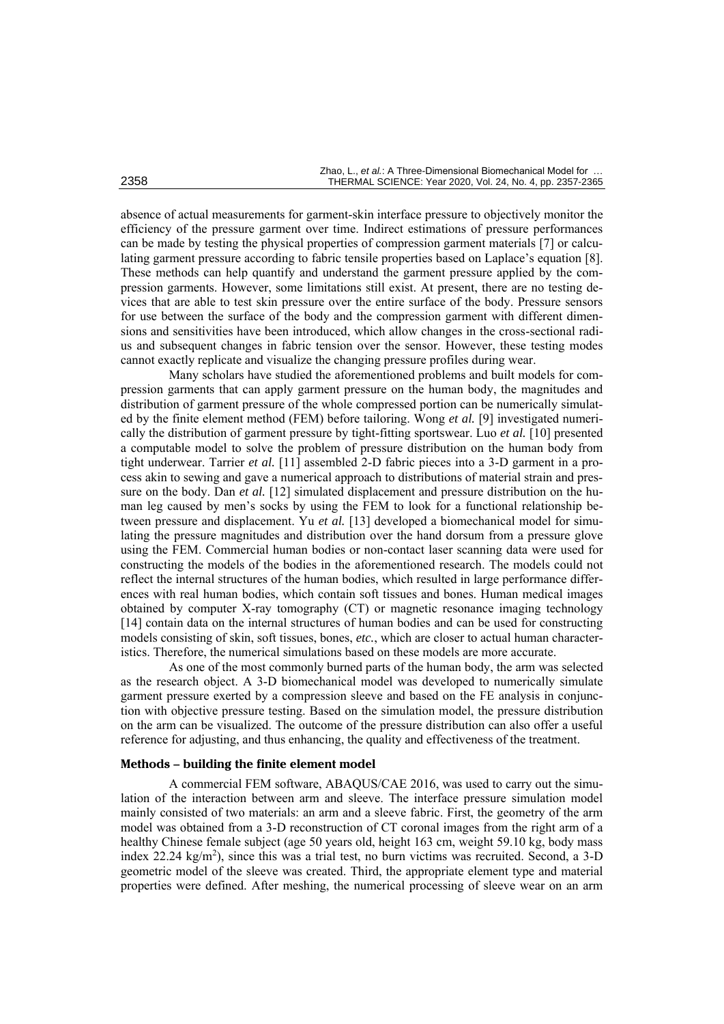absence of actual measurements for garment-skin interface pressure to objectively monitor the efficiency of the pressure garment over time. Indirect estimations of pressure performances can be made by testing the physical properties of compression garment materials [7] or calculating garment pressure according to fabric tensile properties based on Laplace's equation [8]. These methods can help quantify and understand the garment pressure applied by the compression garments. However, some limitations still exist. At present, there are no testing devices that are able to test skin pressure over the entire surface of the body. Pressure sensors for use between the surface of the body and the compression garment with different dimensions and sensitivities have been introduced, which allow changes in the cross-sectional radius and subsequent changes in fabric tension over the sensor. However, these testing modes cannot exactly replicate and visualize the changing pressure profiles during wear.

Many scholars have studied the aforementioned problems and built models for compression garments that can apply garment pressure on the human body, the magnitudes and distribution of garment pressure of the whole compressed portion can be numerically simulated by the finite element method (FEM) before tailoring. Wong *et al.* [9] investigated numerically the distribution of garment pressure by tight-fitting sportswear. Luo *et al.* [10] presented a computable model to solve the problem of pressure distribution on the human body from tight underwear. Tarrier *et al.* [11] assembled 2-D fabric pieces into a 3-D garment in a process akin to sewing and gave a numerical approach to distributions of material strain and pressure on the body. Dan *et al.* [12] simulated displacement and pressure distribution on the human leg caused by men's socks by using the FEM to look for a functional relationship between pressure and displacement. Yu *et al.* [13] developed a biomechanical model for simulating the pressure magnitudes and distribution over the hand dorsum from a pressure glove using the FEM. Commercial human bodies or non-contact laser scanning data were used for constructing the models of the bodies in the aforementioned research. The models could not reflect the internal structures of the human bodies, which resulted in large performance differences with real human bodies, which contain soft tissues and bones. Human medical images obtained by computer X-ray tomography (CT) or magnetic resonance imaging technology [14] contain data on the internal structures of human bodies and can be used for constructing models consisting of skin, soft tissues, bones, *etc.*, which are closer to actual human characteristics. Therefore, the numerical simulations based on these models are more accurate.

As one of the most commonly burned parts of the human body, the arm was selected as the research object. A 3-D biomechanical model was developed to numerically simulate garment pressure exerted by a compression sleeve and based on the FE analysis in conjunction with objective pressure testing. Based on the simulation model, the pressure distribution on the arm can be visualized. The outcome of the pressure distribution can also offer a useful reference for adjusting, and thus enhancing, the quality and effectiveness of the treatment.

## **Methods – building the finite element model**

A commercial FEM software, ABAQUS/CAE 2016, was used to carry out the simulation of the interaction between arm and sleeve. The interface pressure simulation model mainly consisted of two materials: an arm and a sleeve fabric. First, the geometry of the arm model was obtained from a 3-D reconstruction of CT coronal images from the right arm of a healthy Chinese female subject (age 50 years old, height 163 cm, weight 59.10 kg, body mass index 22.24 kg/m<sup>2</sup>), since this was a trial test, no burn victims was recruited. Second, a 3-D geometric model of the sleeve was created. Third, the appropriate element type and material properties were defined. After meshing, the numerical processing of sleeve wear on an arm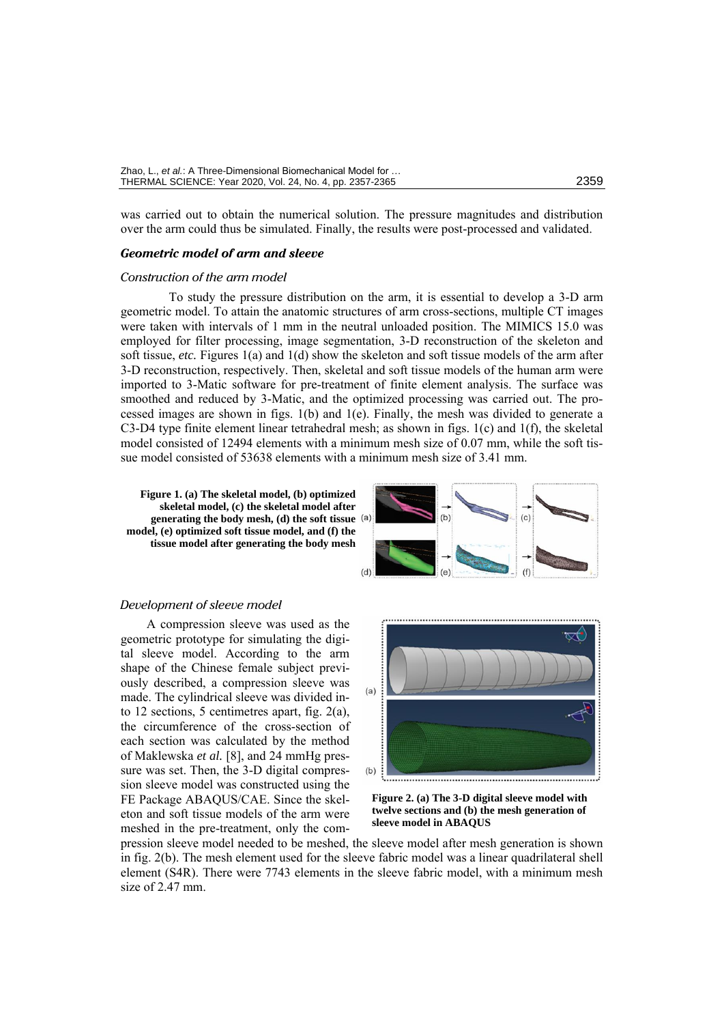was carried out to obtain the numerical solution. The pressure magnitudes and distribution over the arm could thus be simulated. Finally, the results were post-processed and validated.

#### *Geometric model of arm and sleeve*

#### *Construction of the arm model*

To study the pressure distribution on the arm, it is essential to develop a 3-D arm geometric model. To attain the anatomic structures of arm cross-sections, multiple CT images were taken with intervals of 1 mm in the neutral unloaded position. The MIMICS 15.0 was employed for filter processing, image segmentation, 3-D reconstruction of the skeleton and soft tissue, *etc.* Figures 1(a) and 1(d) show the skeleton and soft tissue models of the arm after 3-D reconstruction, respectively. Then, skeletal and soft tissue models of the human arm were imported to 3-Matic software for pre-treatment of finite element analysis. The surface was smoothed and reduced by 3-Matic, and the optimized processing was carried out. The processed images are shown in figs. 1(b) and 1(e). Finally, the mesh was divided to generate a C3-D4 type finite element linear tetrahedral mesh; as shown in figs. 1(c) and 1(f), the skeletal model consisted of 12494 elements with a minimum mesh size of 0.07 mm, while the soft tissue model consisted of 53638 elements with a minimum mesh size of 3.41 mm.

**Figure 1. (a) The skeletal model, (b) optimized skeletal model, (c) the skeletal model after generating the body mesh, (d) the soft tissue model, (e) optimized soft tissue model, and (f) the tissue model after generating the body mesh**



### *Development of sleeve model*

A compression sleeve was used as the geometric prototype for simulating the digital sleeve model. According to the arm shape of the Chinese female subject previously described, a compression sleeve was made. The cylindrical sleeve was divided into 12 sections, 5 centimetres apart, fig. 2(a), the circumference of the cross-section of each section was calculated by the method of Maklewska *et al.* [8], and 24 mmHg pressure was set. Then, the 3-D digital compression sleeve model was constructed using the FE Package ABAQUS/CAE. Since the skeleton and soft tissue models of the arm were meshed in the pre-treatment, only the com-



**Figure 2. (a) The 3-D digital sleeve model with twelve sections and (b) the mesh generation of sleeve model in ABAQUS**

pression sleeve model needed to be meshed, the sleeve model after mesh generation is shown in fig. 2(b). The mesh element used for the sleeve fabric model was a linear quadrilateral shell element (S4R). There were 7743 elements in the sleeve fabric model, with a minimum mesh size of 2.47 mm.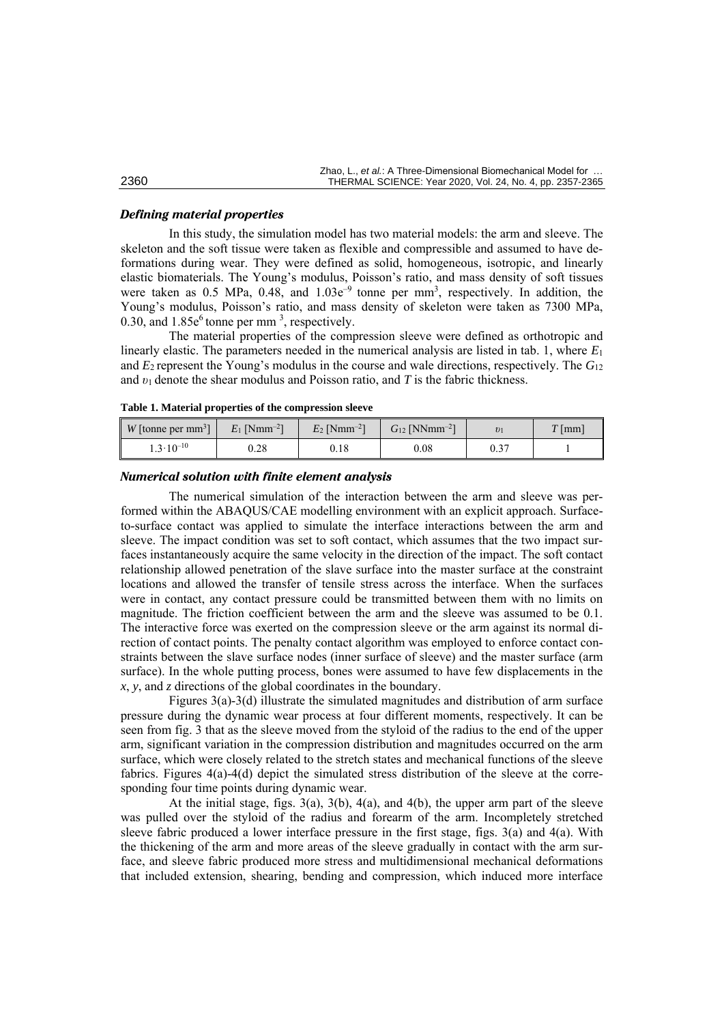|      | Zhao. L., et al.: A Three-Dimensional Biomechanical Model for |  |  |
|------|---------------------------------------------------------------|--|--|
| 2360 | THERMAL SCIENCE: Year 2020, Vol. 24, No. 4, pp. 2357-2365     |  |  |

#### *Defining material properties*

In this study, the simulation model has two material models: the arm and sleeve. The skeleton and the soft tissue were taken as flexible and compressible and assumed to have deformations during wear. They were defined as solid, homogeneous, isotropic, and linearly elastic biomaterials. The Young's modulus, Poisson's ratio, and mass density of soft tissues were taken as 0.5 MPa, 0.48, and  $1.03e^{-9}$  tonne per mm<sup>3</sup>, respectively. In addition, the Young's modulus, Poisson's ratio, and mass density of skeleton were taken as 7300 MPa, 0.30, and  $1.85e^6$  tonne per mm<sup>3</sup>, respectively.

The material properties of the compression sleeve were defined as orthotropic and linearly elastic. The parameters needed in the numerical analysis are listed in tab. 1, where *E*<sup>1</sup> and *E*2 represent the Young's modulus in the course and wale directions, respectively. The *G*<sup>12</sup> and *υ*1 denote the shear modulus and Poisson ratio, and *T* is the fabric thickness.

|  |  | Table 1. Material properties of the compression sleeve |
|--|--|--------------------------------------------------------|
|--|--|--------------------------------------------------------|

| $W$ [tonne per mm <sup>3</sup> ] | $E_1$ [Nmm <sup>-2</sup> ] | $E_2$ [Nmm <sup>-2</sup> ] | $G_{12}$ [NNmm <sup>-2</sup> ] |             | mm |
|----------------------------------|----------------------------|----------------------------|--------------------------------|-------------|----|
| $1.3 \cdot 10^{-10}$             | $_{0.28}$                  | 0.18                       | $_{0.08}$                      | ሰ ጎግ<br>V.2 |    |

### *Numerical solution with finite element analysis*

The numerical simulation of the interaction between the arm and sleeve was performed within the ABAQUS/CAE modelling environment with an explicit approach. Surfaceto-surface contact was applied to simulate the interface interactions between the arm and sleeve. The impact condition was set to soft contact, which assumes that the two impact surfaces instantaneously acquire the same velocity in the direction of the impact. The soft contact relationship allowed penetration of the slave surface into the master surface at the constraint locations and allowed the transfer of tensile stress across the interface. When the surfaces were in contact, any contact pressure could be transmitted between them with no limits on magnitude. The friction coefficient between the arm and the sleeve was assumed to be 0.1. The interactive force was exerted on the compression sleeve or the arm against its normal direction of contact points. The penalty contact algorithm was employed to enforce contact constraints between the slave surface nodes (inner surface of sleeve) and the master surface (arm surface). In the whole putting process, bones were assumed to have few displacements in the *x*, *y*, and *z* directions of the global coordinates in the boundary.

Figures 3(a)-3(d) illustrate the simulated magnitudes and distribution of arm surface pressure during the dynamic wear process at four different moments, respectively. It can be seen from fig. 3 that as the sleeve moved from the styloid of the radius to the end of the upper arm, significant variation in the compression distribution and magnitudes occurred on the arm surface, which were closely related to the stretch states and mechanical functions of the sleeve fabrics. Figures 4(a)-4(d) depict the simulated stress distribution of the sleeve at the corresponding four time points during dynamic wear.

At the initial stage, figs. 3(a), 3(b), 4(a), and 4(b), the upper arm part of the sleeve was pulled over the styloid of the radius and forearm of the arm. Incompletely stretched sleeve fabric produced a lower interface pressure in the first stage, figs. 3(a) and 4(a). With the thickening of the arm and more areas of the sleeve gradually in contact with the arm surface, and sleeve fabric produced more stress and multidimensional mechanical deformations that included extension, shearing, bending and compression, which induced more interface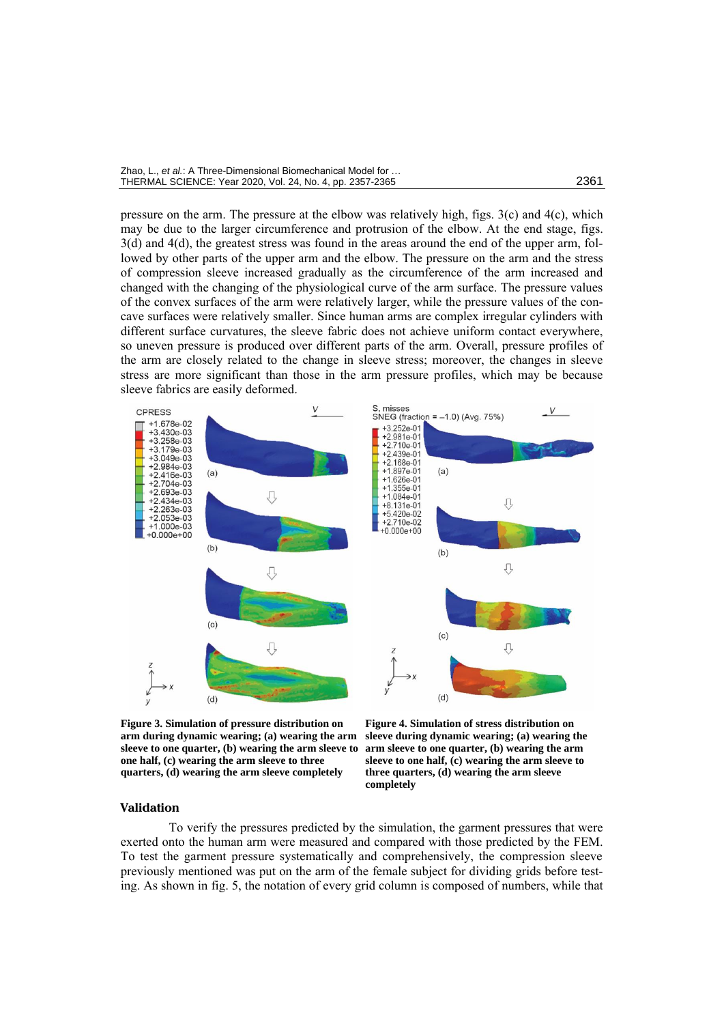| Zhao, L., et al.: A Three-Dimensional Biomechanical Model for |      |
|---------------------------------------------------------------|------|
| THERMAL SCIENCE: Year 2020, Vol. 24, No. 4, pp. 2357-2365     | 2361 |

pressure on the arm. The pressure at the elbow was relatively high, figs.  $3(c)$  and  $4(c)$ , which may be due to the larger circumference and protrusion of the elbow. At the end stage, figs. 3(d) and 4(d), the greatest stress was found in the areas around the end of the upper arm, followed by other parts of the upper arm and the elbow. The pressure on the arm and the stress of compression sleeve increased gradually as the circumference of the arm increased and changed with the changing of the physiological curve of the arm surface. The pressure values of the convex surfaces of the arm were relatively larger, while the pressure values of the concave surfaces were relatively smaller. Since human arms are complex irregular cylinders with different surface curvatures, the sleeve fabric does not achieve uniform contact everywhere, so uneven pressure is produced over different parts of the arm. Overall, pressure profiles of the arm are closely related to the change in sleeve stress; moreover, the changes in sleeve stress are more significant than those in the arm pressure profiles, which may be because sleeve fabrics are easily deformed.



**Figure 3. Simulation of pressure distribution on arm during dynamic wearing; (a) wearing the arm sleeve to one quarter, (b) wearing the arm sleeve to one half, (c) wearing the arm sleeve to three quarters, (d) wearing the arm sleeve completely**

**Figure 4. Simulation of stress distribution on sleeve during dynamic wearing; (a) wearing the arm sleeve to one quarter, (b) wearing the arm sleeve to one half, (c) wearing the arm sleeve to three quarters, (d) wearing the arm sleeve completely** (*for color image see journal web site*)

#### **Validation**

To verify the pressures predicted by the simulation, the garment pressures that were exerted onto the human arm were measured and compared with those predicted by the FEM. To test the garment pressure systematically and comprehensively, the compression sleeve previously mentioned was put on the arm of the female subject for dividing grids before testing. As shown in fig. 5, the notation of every grid column is composed of numbers, while that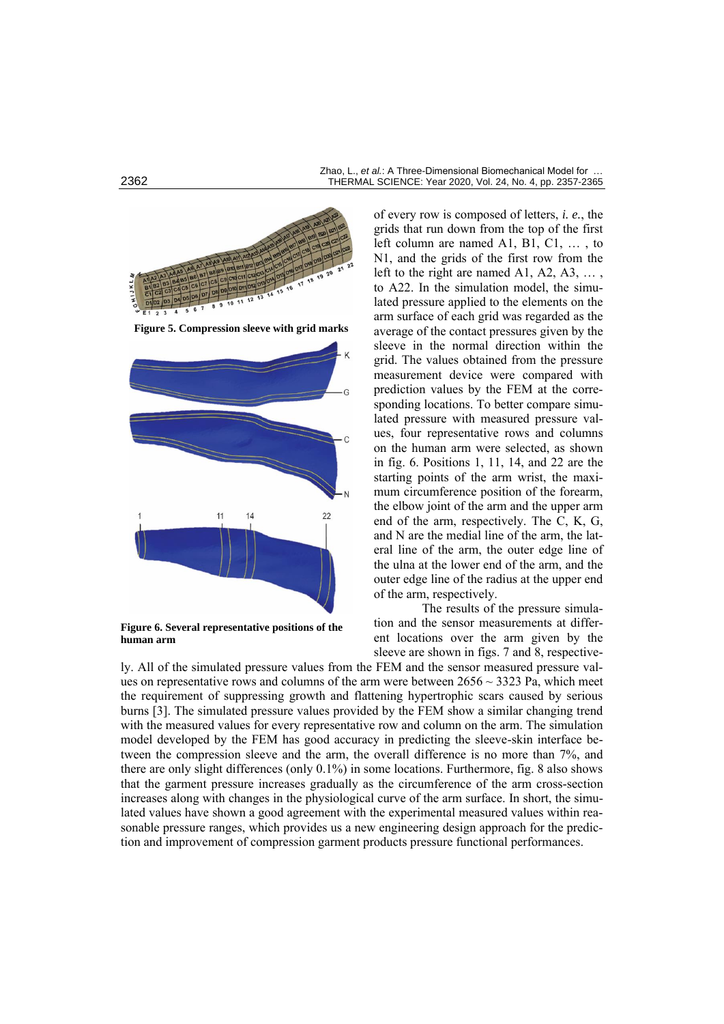

**Figure 6. Several representative positions of the human arm**

of every row is composed of letters, *i. e.*, the grids that run down from the top of the first left column are named A1, B1, C1, … , to N1, and the grids of the first row from the left to the right are named A1, A2, A3, … , to A22. In the simulation model, the simulated pressure applied to the elements on the arm surface of each grid was regarded as the average of the contact pressures given by the sleeve in the normal direction within the grid. The values obtained from the pressure measurement device were compared with prediction values by the FEM at the corresponding locations. To better compare simulated pressure with measured pressure values, four representative rows and columns on the human arm were selected, as shown in fig. 6. Positions 1, 11, 14, and 22 are the starting points of the arm wrist, the maximum circumference position of the forearm, the elbow joint of the arm and the upper arm end of the arm, respectively. The C, K, G, and N are the medial line of the arm, the lateral line of the arm, the outer edge line of the ulna at the lower end of the arm, and the outer edge line of the radius at the upper end of the arm, respectively.

The results of the pressure simulation and the sensor measurements at different locations over the arm given by the sleeve are shown in figs. 7 and 8, respective-

ly. All of the simulated pressure values from the FEM and the sensor measured pressure values on [representative](javascript:;) rows and columns of the arm were between  $2656 \sim 3323$  Pa, which meet the requirement of suppressing growth and flattening hypertrophic scars caused by serious burns [3]. The simulated pressure values provided by the FEM show a similar changing trend with the measured values for every [representative](javascript:;) row and column on the arm. The simulation model developed by the FEM has good accuracy in predicting the sleeve-skin interface between the compression sleeve and the arm, the overall difference is no more than 7%, and there are only slight differences (only 0.1%) in some locations. Furthermore, fig. 8 also shows that the garment pressure increases gradually as the circumference of the arm cross-section increases along with changes in the physiological curve of the arm surface. In short, the simulated values have shown a good agreement with the experimental measured values within reasonable pressure ranges, which provides us a new engineering design approach for the prediction and improvement of compression garment products pressure functional performances.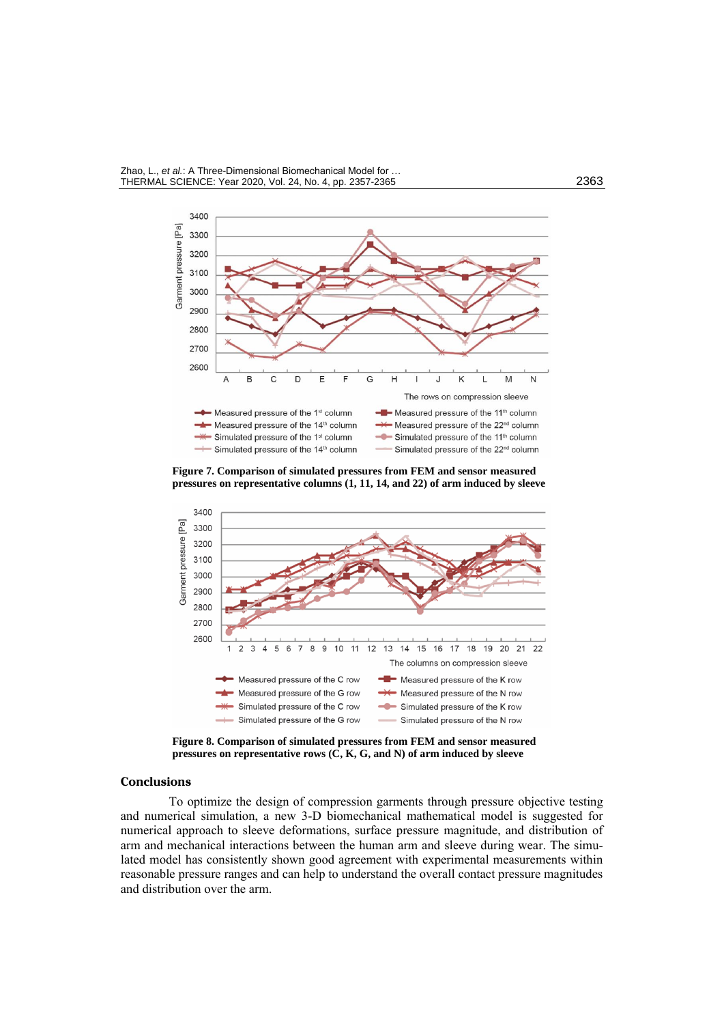

**Figure 7. Comparison of simulated pressures from FEM and sensor measured pressures on [representative](javascript:;) columns (1, 11, 14, and 22) of arm induced by sleeve**



**Figure 8. Comparison of simulated pressures from FEM and sensor measured pressures on [representative](javascript:;) rows (C, K, G, and N) of arm induced by sleeve**

# **Conclusions**

To optimize the design of compression garments through pressure objective testing and numerical simulation, a new 3-D biomechanical mathematical model is suggested for numerical approach to sleeve deformations, surface pressure magnitude, and distribution of arm and mechanical interactions between the human arm and sleeve during wear. The simulated model has consistently shown good agreement with experimental measurements within reasonable pressure ranges and can help to understand the overall contact pressure magnitudes and distribution over the arm.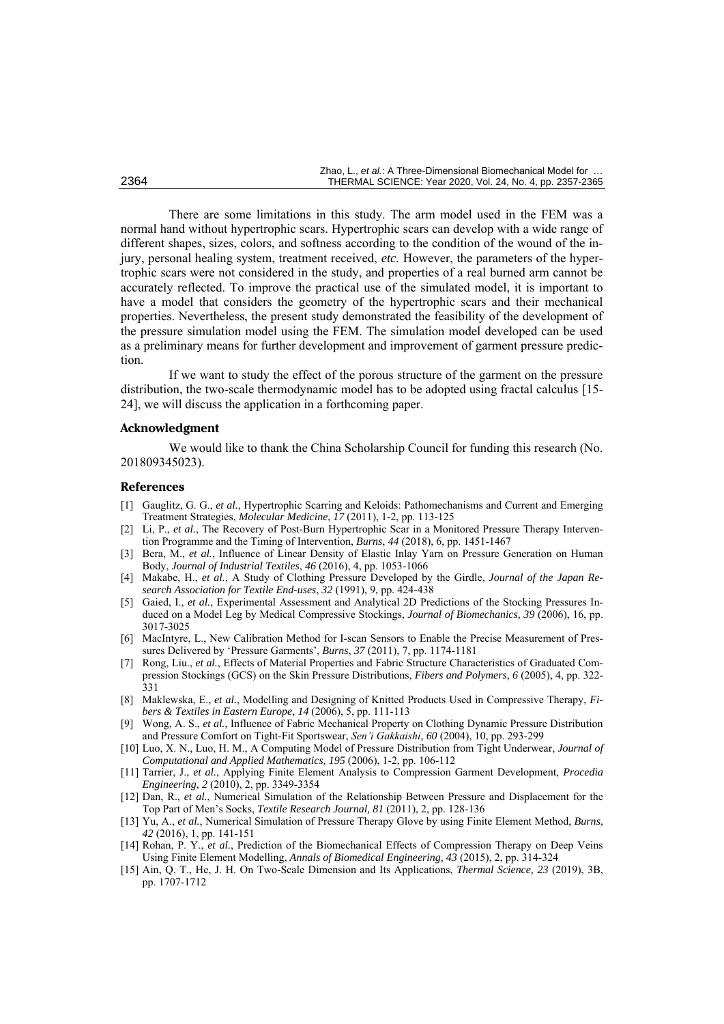There are some limitations in this study. The arm model used in the FEM was a normal hand without hypertrophic scars. Hypertrophic scars can develop with a wide range of different shapes, sizes, colors, and softness according to the condition of the wound of the injury, personal healing system, treatment received, *etc.* However, the parameters of the hypertrophic scars were not considered in the study, and properties of a real burned arm cannot be accurately reflected. To improve the practical use of the simulated model, it is important to have a model that considers the geometry of the hypertrophic scars and their mechanical properties. Nevertheless, the present study demonstrated the feasibility of the development of the pressure simulation model using the FEM. The simulation model developed can be used as a preliminary means for further development and improvement of garment pressure prediction.

If we want to study the effect of the porous structure of the garment on the pressure distribution, the two-scale thermodynamic model has to be adopted using fractal calculus [15- 24], we will discuss the application in a forthcoming paper.

### **Acknowledgment**

We would like to thank the China Scholarship Council for funding this research (No. 201809345023).

#### **References**

- [1] Gauglitz, G. G., *et al.*, Hypertrophic Scarring and Keloids: Pathomechanisms and Current and Emerging Treatment Strategies, *Molecular Medicine*, *17* (2011), 1-2, pp. 113-125
- [2] [Li, P.](https://www.ncbi.nlm.nih.gov/pubmed/?term=Li%20P%5BAuthor%5D&cauthor=true&cauthor_uid=29887351), *et al.*, The Recovery of Post-Burn Hypertrophic Scar in a Monitored Pressure Therapy Intervention Programme and the Timing of Intervention, *Burns*, *44* (2018), 6, pp. 1451-1467
- [3] Bera, M., *et al.*, Influence of Linear Density of Elastic Inlay Yarn on Pressure Generation on Human Body, *Journal of Industrial Textiles*, *46* (2016), 4, pp. 1053-1066
- [4] Makabe, H., *et al.*, A Study of Clothing Pressure Developed by the Girdle, *Journal of the Japan Research Association for Textile End-uses*, *32* (1991), 9, pp. 424-438
- [5] Gaied, I., *et al.*, Experimental Assessment and Analytical 2D Predictions of the Stocking Pressures Induced on a Model Leg by Medical Compressive Stockings, *Journal of Biomechanics, 39* (2006), 16, pp. 3017-3025
- [6] MacIntyre, L., New Calibration Method for I-scan Sensors to Enable the Precise Measurement of Pressures Delivered by 'Pressure Garments', *Burns*, *37* (2011), 7, pp. 1174-1181
- [7] Rong, Liu., *et al.*, Effects of Material Properties and Fabric Structure Characteristics of Graduated Compression Stockings (GCS) on the Skin Pressure Distributions, *[Fibers and Polymers,](https://link.springer.com/journal/12221) 6* (2005), 4, pp. 322- 331
- [8] Maklewska, E., *et al.*, Modelling and Designing of Knitted Products Used in Compressive Therapy, *Fibers & Textiles in Eastern Europe*, *14* (2006), 5, pp. 111-113
- [9] Wong, A. S., *et al.*, Influence of Fabric Mechanical Property on Clothing Dynamic Pressure Distribution and Pressure Comfort on Tight-Fit Sportswear, *Sen'i Gakkaishi, 60* (2004), 10, pp. 293-299
- [10] Luo, X. N., Luo, H. M., A Computing Model of Pressure Distribution from Tight Underwear, *Journal of Computational and Applied Mathematics, 195* (2006), 1-2, pp. 106-112
- [11] [Tarrier,](http://xueshu.baidu.com/s?wd=author%3A%28James%20Tarrier%29%20&tn=SE_baiduxueshu_c1gjeupa&ie=utf-8&sc_f_para=sc_hilight%3Dperson) J., *et al.*, Applying Finite Element Analysis to Compression Garment Development, *Procedia Engineering, 2* (2010), 2, pp. 3349-3354
- [12] Dan, R., *et al.*, Numerical Simulation of the Relationship Between Pressure and Displacement for the Top Part of Men's Socks, *Textile Research Journal, 81* (2011), 2, pp. 128-136
- [13] Yu, A., *et al.*, Numerical Simulation of Pressure Therapy Glove by using Finite Element Method, *Burns*, *42* (2016), 1, pp. 141-151
- [14] [Rohan,](http://xueshu.baidu.com/s?wd=author%3A%28Rohan%20PY%29%20&tn=SE_baiduxueshu_c1gjeupa&ie=utf-8&sc_f_para=sc_hilight%3Dperson) P. Y., *et al.*, Prediction of the Biomechanical Effects of Compression Therapy on Deep Veins Using Finite Element Modelling, *Annals of Biomedical Engineering, 43* (2015), 2, pp. 314-324
- [15] Ain, Q. T., He, J. H. On Two-Scale Dimension and Its Applications, *Thermal Science, 23* (2019), 3B, pp. 1707-1712